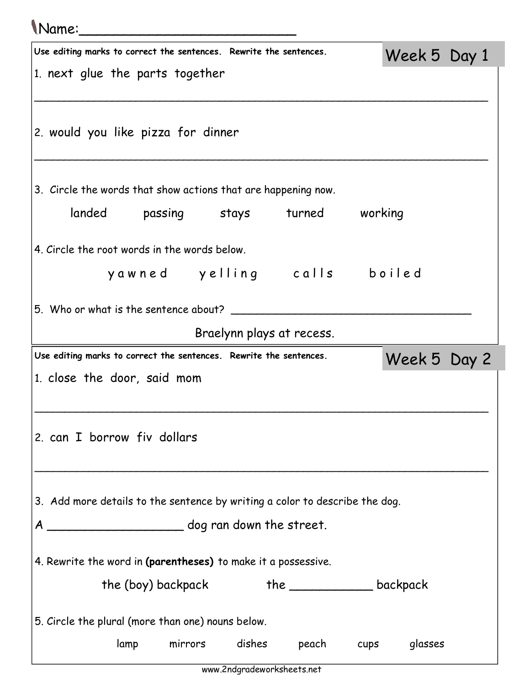## Name:\_\_\_\_\_\_\_\_\_\_\_\_\_\_\_\_\_\_\_\_\_\_\_\_\_

| Use editing marks to correct the sentences. Rewrite the sentences.          |                    |                           |                                     | Week 5 Day 1                         |  |  |  |
|-----------------------------------------------------------------------------|--------------------|---------------------------|-------------------------------------|--------------------------------------|--|--|--|
| 1. next glue the parts together                                             |                    |                           |                                     |                                      |  |  |  |
|                                                                             |                    |                           |                                     |                                      |  |  |  |
| 2. would you like pizza for dinner                                          |                    |                           |                                     |                                      |  |  |  |
| 3. Circle the words that show actions that are happening now.               |                    |                           |                                     |                                      |  |  |  |
|                                                                             |                    |                           | landed passing stays turned working |                                      |  |  |  |
| 4. Circle the root words in the words below.                                |                    |                           |                                     |                                      |  |  |  |
|                                                                             |                    |                           |                                     | yawned yelling calls boiled          |  |  |  |
| 5. Who or what is the sentence about?                                       |                    |                           |                                     |                                      |  |  |  |
|                                                                             |                    | Braelynn plays at recess. |                                     |                                      |  |  |  |
| Use editing marks to correct the sentences. Rewrite the sentences.          | Week 5 Day 2       |                           |                                     |                                      |  |  |  |
| 1. close the door, said mom                                                 |                    |                           |                                     |                                      |  |  |  |
|                                                                             |                    |                           |                                     |                                      |  |  |  |
| 2. can I borrow fiv dollars                                                 |                    |                           |                                     |                                      |  |  |  |
|                                                                             |                    |                           |                                     |                                      |  |  |  |
|                                                                             |                    |                           |                                     |                                      |  |  |  |
| 3. Add more details to the sentence by writing a color to describe the dog. |                    |                           |                                     |                                      |  |  |  |
|                                                                             |                    |                           |                                     |                                      |  |  |  |
| 4. Rewrite the word in (parentheses) to make it a possessive.               |                    |                           |                                     |                                      |  |  |  |
|                                                                             | the (boy) backpack |                           |                                     | the ________________________backpack |  |  |  |
| 5. Circle the plural (more than one) nouns below.                           |                    |                           |                                     |                                      |  |  |  |
| lamp                                                                        | mirrors            | dishes                    | peach                               | glasses<br>cups                      |  |  |  |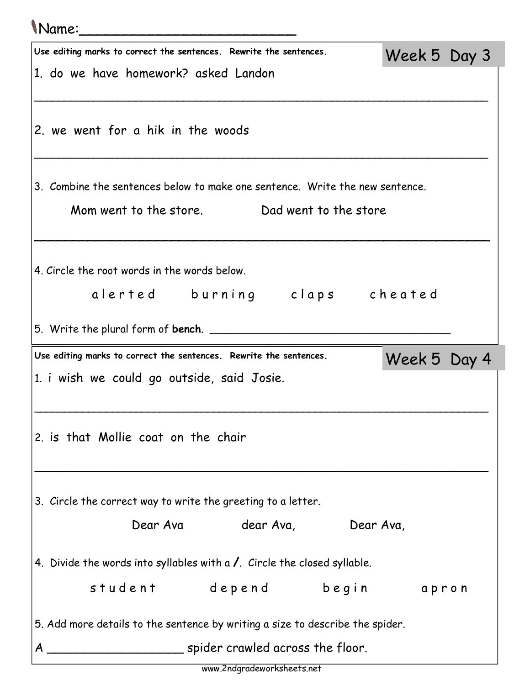## Name:\_\_\_\_\_\_\_\_\_\_\_\_\_\_\_\_\_\_\_\_\_\_\_\_\_ Use editing marks to correct the sentences. Rewrite the sentences. 1. do we have homework? asked Landon \_\_\_\_\_\_\_\_\_\_\_\_\_\_\_\_\_\_\_\_\_\_\_\_\_\_\_\_\_\_\_\_\_\_\_\_\_\_\_\_\_\_\_\_\_\_\_\_\_\_\_\_\_\_\_\_\_\_\_\_\_\_\_\_\_\_\_\_\_\_\_\_\_\_\_\_ 2. we went for a hik in the woods \_\_\_\_\_\_\_\_\_\_\_\_\_\_\_\_\_\_\_\_\_\_\_\_\_\_\_\_\_\_\_\_\_\_\_\_\_\_\_\_\_\_\_\_\_\_\_\_\_\_\_\_\_\_\_\_\_\_\_\_\_\_\_\_\_\_\_\_\_\_\_\_\_\_\_\_ 3. Combine the sentences below to make one sentence. Write the new sentence. Mom went to the store. Dad went to the store  $\overline{\phantom{a}}$ 4. Circle the root words in the words below. alerted burning claps cheated 5. Write the plural form of bench. \_\_\_\_\_\_\_\_\_\_\_\_\_\_\_\_\_\_\_\_\_\_\_\_\_\_\_\_\_\_\_\_\_\_\_\_\_ Week 5 Day 3 Use editing marks to correct the sentences. Rewrite the sentences. 1. i wish we could go outside, said Josie. \_\_\_\_\_\_\_\_\_\_\_\_\_\_\_\_\_\_\_\_\_\_\_\_\_\_\_\_\_\_\_\_\_\_\_\_\_\_\_\_\_\_\_\_\_\_\_\_\_\_\_\_\_\_\_\_\_\_\_\_\_\_\_\_\_\_\_\_\_\_\_\_\_\_\_\_ 2. is that Mollie coat on the chair \_\_\_\_\_\_\_\_\_\_\_\_\_\_\_\_\_\_\_\_\_\_\_\_\_\_\_\_\_\_\_\_\_\_\_\_\_\_\_\_\_\_\_\_\_\_\_\_\_\_\_\_\_\_\_\_\_\_\_\_\_\_\_\_\_\_\_\_\_\_\_\_\_\_\_\_ 3. Circle the correct way to write the greeting to a letter. Dear Ava dear Ava, Dear Ava, 4. Divide the words into syllables with a  $\ell$ . Circle the closed syllable. student depend begin apron 5. Add more details to the sentence by writing a size to describe the spider. A spider crawled across the floor. Week 5 Day 4